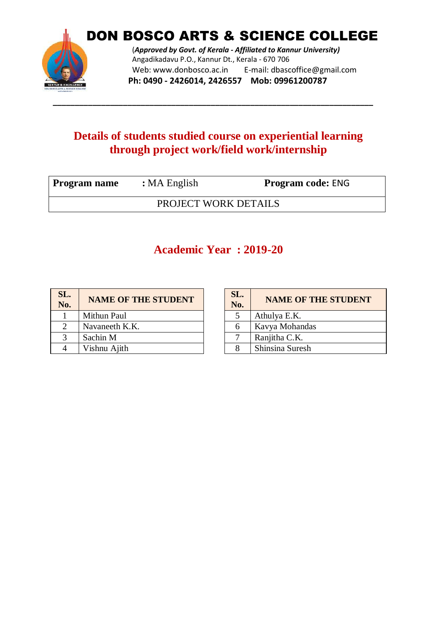

DON BOSCO ARTS & SCIENCE COLLEGE

(*Approved by Govt. of Kerala - Affiliated to Kannur University)* Angadikadavu P.O., Kannur Dt., Kerala - 670 706 Web: www.donbosco.ac.in E-mail: dbascoffice@gmail.com **Ph: 0490 - 2426014, 2426557 Mob: 09961200787**

#### **Details of students studied course on experiential learning through project work/field work/internship**

**\_\_\_\_\_\_\_\_\_\_\_\_\_\_\_\_\_\_\_\_\_\_\_\_\_\_\_\_\_\_\_\_\_\_\_\_\_\_\_\_\_\_\_\_\_\_\_\_\_\_\_\_\_\_\_\_\_\_\_\_\_\_\_\_\_\_\_\_\_\_\_\_\_**

| Program name         | $: MA$ English | <b>Program code: ENG</b> |  |
|----------------------|----------------|--------------------------|--|
| PROJECT WORK DETAILS |                |                          |  |

#### **Academic Year : 2019-20**

| SL.<br>No. | <b>NAME OF THE STUDENT</b> | SL.<br>No.   | <b>NAME OF T</b> |
|------------|----------------------------|--------------|------------------|
|            | Mithun Paul                |              | Athulya E.K.     |
|            | Navaneeth K.K.             | h            | Kavya Mohandas   |
|            | Sachin M                   | $\mathbf{r}$ | Ranjitha C.K.    |
|            | Vishnu Ajith               | 8            | Shinsina Suresh  |

| SL.<br>No. | <b>NAME OF THE STUDENT</b> |
|------------|----------------------------|
| 5          | Athulya E.K.               |
| 6          | Kavya Mohandas             |
|            | Ranjitha C.K.              |
|            | Shinsina Suresh            |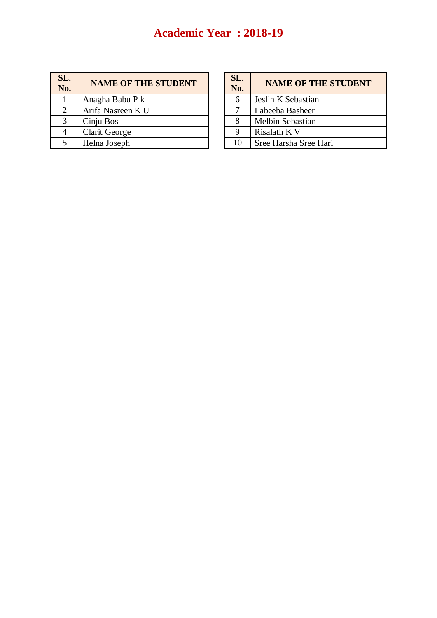#### **Academic Year : 2018-19**

| SL.<br>No. | <b>NAME OF THE STUDENT</b> | SL.<br>No. | <b>NAME OF THE STUDENT</b> |
|------------|----------------------------|------------|----------------------------|
|            | Anagha Babu P k            | 6          | Jeslin K Sebastian         |
|            | Arifa Nasreen K U          |            | Labeeba Basheer            |
| 3          | Cinju Bos                  |            | Melbin Sebastian           |
|            | Clarit George              | 9          | Risalath K V               |
|            | Helna Joseph               | 10         | Sree Harsha Sree Hari      |

| SL.<br>No. | <b>NAME OF THE STUDENT</b> |
|------------|----------------------------|
| 6          | Jeslin K Sebastian         |
|            | Labeeba Basheer            |
| 8          | Melbin Sebastian           |
| Q          | Risalath K V               |
| 10         | Sree Harsha Sree Hari      |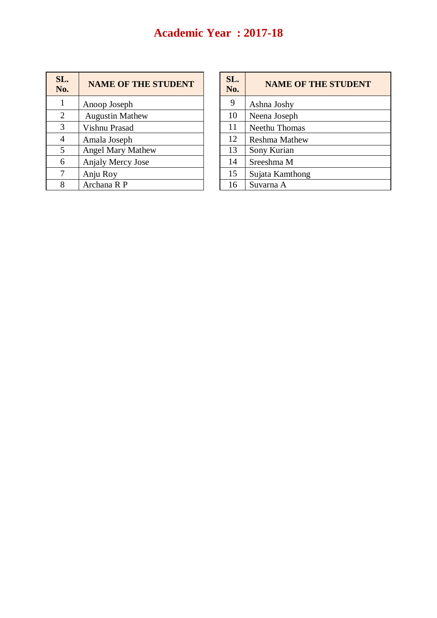# **Academic Year : 2017-18**

| SL.<br>No.     | <b>NAME OF THE STUDENT</b> | SL.<br>No. | <b>NAME OF</b>       |
|----------------|----------------------------|------------|----------------------|
| 1              | Anoop Joseph               | 9          | Ashna Joshy          |
| 2              | <b>Augustin Mathew</b>     | 10         | Neena Joseph         |
| 3              | Vishnu Prasad              | 11         | Neethu Thomas        |
| $\overline{4}$ | Amala Joseph               | 12         | <b>Reshma Mathew</b> |
| 5              | <b>Angel Mary Mathew</b>   | 13         | Sony Kurian          |
| 6              | Anjaly Mercy Jose          | 14         | Sreeshma M           |
| 7              | Anju Roy                   | 15         | Sujata Kamthong      |
| 8              | Archana R P                | 16         | Suvarna A            |

| SL.<br>No. | <b>NAME OF THE STUDENT</b> |
|------------|----------------------------|
| 9          | Ashna Joshy                |
| 10         | Neena Joseph               |
| 11         | Neethu Thomas              |
| 12         | <b>Reshma Mathew</b>       |
| 13         | Sony Kurian                |
| 14         | Sreeshma M                 |
| 15         | Sujata Kamthong            |
| 16         | Suvarna A                  |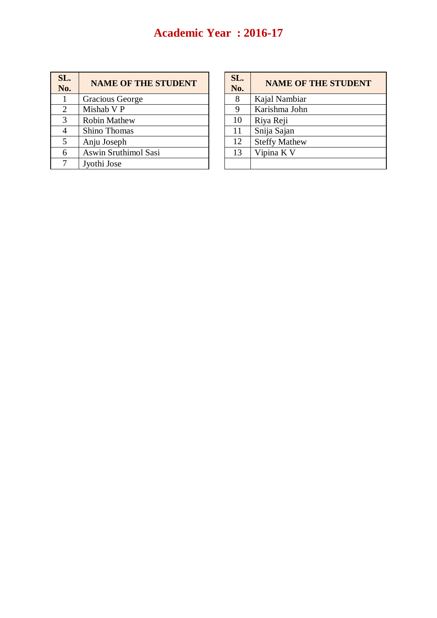# **Academic Year : 2016-17**

| SL.<br>No. | <b>NAME OF THE STUDENT</b> | SL.<br>No.    | <b>NAME OF</b>       |
|------------|----------------------------|---------------|----------------------|
|            | <b>Gracious George</b>     | 8             | Kajal Nambiar        |
| 2          | Mishab V P                 | 9             | Karishma John        |
| 3          | <b>Robin Mathew</b>        | 10            | Riya Reji            |
| 4          | Shino Thomas               | <sup>11</sup> | Snija Sajan          |
| 5          | Anju Joseph                | 12            | <b>Steffy Mathew</b> |
| 6          | Aswin Sruthimol Sasi       | 13            | Vipina K V           |
|            | Jyothi Jose                |               |                      |

| SL.<br>No. | <b>NAME OF THE STUDENT</b> |
|------------|----------------------------|
| 8          | Kajal Nambiar              |
| 9          | Karishma John              |
| 10         | Riya Reji                  |
| 11         | Snija Sajan                |
| 12         | <b>Steffy Mathew</b>       |
| 13         | Vipina K V                 |
|            |                            |